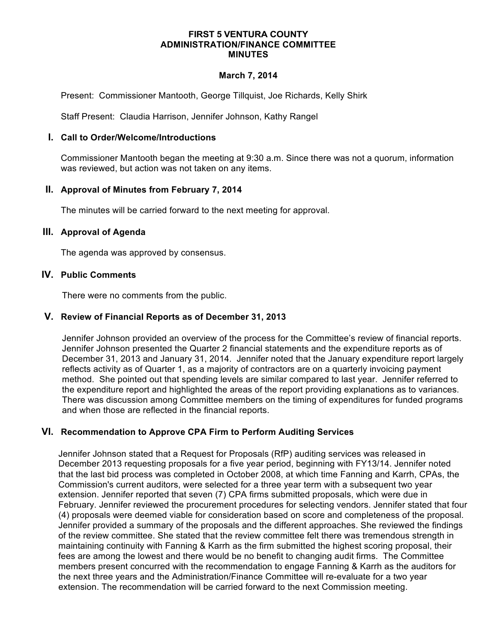#### **FIRST 5 VENTURA COUNTY ADMINISTRATION/FINANCE COMMITTEE MINUTES**

### **March 7, 2014**

Present: Commissioner Mantooth, George Tillquist, Joe Richards, Kelly Shirk

Staff Present: Claudia Harrison, Jennifer Johnson, Kathy Rangel

### **I. Call to Order/Welcome/Introductions**

Commissioner Mantooth began the meeting at 9:30 a.m. Since there was not a quorum, information was reviewed, but action was not taken on any items.

### **II. Approval of Minutes from February 7, 2014**

The minutes will be carried forward to the next meeting for approval.

### **III. Approval of Agenda**

The agenda was approved by consensus.

### **IV. Public Comments**

There were no comments from the public.

## **V. Review of Financial Reports as of December 31, 2013**

Jennifer Johnson provided an overview of the process for the Committee's review of financial reports. Jennifer Johnson presented the Quarter 2 financial statements and the expenditure reports as of December 31, 2013 and January 31, 2014. Jennifer noted that the January expenditure report largely reflects activity as of Quarter 1, as a majority of contractors are on a quarterly invoicing payment method. She pointed out that spending levels are similar compared to last year. Jennifer referred to the expenditure report and highlighted the areas of the report providing explanations as to variances. There was discussion among Committee members on the timing of expenditures for funded programs and when those are reflected in the financial reports.

## **VI. Recommendation to Approve CPA Firm to Perform Auditing Services**

Jennifer Johnson stated that a Request for Proposals (RfP) auditing services was released in December 2013 requesting proposals for a five year period, beginning with FY13/14. Jennifer noted that the last bid process was completed in October 2008, at which time Fanning and Karrh, CPAs, the Commission's current auditors, were selected for a three year term with a subsequent two year extension. Jennifer reported that seven (7) CPA firms submitted proposals, which were due in February. Jennifer reviewed the procurement procedures for selecting vendors. Jennifer stated that four (4) proposals were deemed viable for consideration based on score and completeness of the proposal. Jennifer provided a summary of the proposals and the different approaches. She reviewed the findings of the review committee. She stated that the review committee felt there was tremendous strength in maintaining continuity with Fanning & Karrh as the firm submitted the highest scoring proposal, their fees are among the lowest and there would be no benefit to changing audit firms. The Committee members present concurred with the recommendation to engage Fanning & Karrh as the auditors for the next three years and the Administration/Finance Committee will re-evaluate for a two year extension. The recommendation will be carried forward to the next Commission meeting.